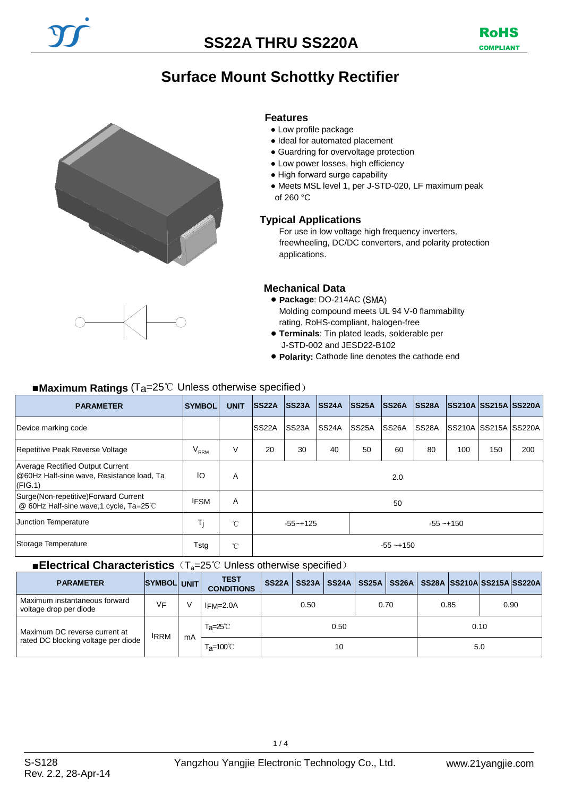# **Surface Mount Schottky Rectifier**





- Low profile package
- Ideal for automated placement
- Guardring for overvoltage protection
- Low power losses, high efficiency
- High forward surge capability
- Meets MSL level 1, per J-STD-020, LF maximum peak of 260 °C

### **Typical Applications**

For use in low voltage high frequency inverters, freewheeling, DC/DC converters, and polarity protection applications.

## **Mechanical Data**

- **Package**: DO-214AC ( Molding compound meets UL 94 V-0 flammability rating, RoHS-compliant, halogen-free
- **Terminals**: Tin plated leads, solderable per J-STD-002 and JESD22-B102
- **Polarity:** Cathode line denotes the cathode end

## ■**Maximum Ratings** (Ta=25℃ Unless otherwise specified)

| <b>PARAMETER</b>                                                                         | <b>SYMBOL</b> | <b>UNIT</b> | <b>SS22A</b>                 | SS23A              | <b>SS24A</b>       | <b>SS25A</b>       | <b>SS26A</b>       | <b>ISS28A</b> | <b>SS210A SS215A SS220A</b>   |     |     |
|------------------------------------------------------------------------------------------|---------------|-------------|------------------------------|--------------------|--------------------|--------------------|--------------------|---------------|-------------------------------|-----|-----|
| Device marking code                                                                      |               |             | <b>SS22A</b>                 | SS <sub>23</sub> A | SS <sub>24</sub> A | SS <sub>25</sub> A | SS <sub>26</sub> A | <b>SS28A</b>  | <b>SS210A ISS215A ISS220A</b> |     |     |
| Repetitive Peak Reverse Voltage                                                          | $\rm V_{RRM}$ | V           | 20                           | 30                 | 40                 | 50                 | 60                 | 80            | 100                           | 150 | 200 |
| Average Rectified Output Current<br>@60Hz Half-sine wave, Resistance load, Ta<br>(FIG.1) | ΙO            | Α           | 2.0                          |                    |                    |                    |                    |               |                               |     |     |
| Surge (Non-repetitive) Forward Current<br>@ 60Hz Half-sine wave,1 cycle, Ta=25℃          | <b>IFSM</b>   | A           | 50                           |                    |                    |                    |                    |               |                               |     |     |
| Junction Temperature                                                                     | Τj            | °C          | $-55 - +125$<br>$-55 - +150$ |                    |                    |                    |                    |               |                               |     |     |
| Storage Temperature                                                                      | Tstg          | °C          | $-55 - +150$                 |                    |                    |                    |                    |               |                               |     |     |

#### ■**Electrical Characteristics** (T<sub>a</sub>=25℃ Unless otherwise specified)

| <b>PARAMETER</b>                                        | <b>SYMBOL UNIT</b> |    | <b>TEST</b><br><b>CONDITIONS</b> | <b>SS22A</b> |  | <b>SS23A   SS24A  </b> | <b>SS25A</b> |      |      |      |  | SS26A   SS28A  SS210A SS215A SS220A |
|---------------------------------------------------------|--------------------|----|----------------------------------|--------------|--|------------------------|--------------|------|------|------|--|-------------------------------------|
| Maximum instantaneous forward<br>voltage drop per diode | ٧F                 |    | $IFM=2.0A$                       | 0.50         |  | 0.70                   |              | 0.85 |      | 0.90 |  |                                     |
| Maximum DC reverse current at                           | <b>IRRM</b>        |    | T <sub>a</sub> =25℃<br>0.50      |              |  |                        |              |      | 0.10 |      |  |                                     |
| rated DC blocking voltage per diode                     |                    | mA | T <sub>a</sub> =100℃             | 10           |  |                        |              |      |      | 5.0  |  |                                     |

 $1/4$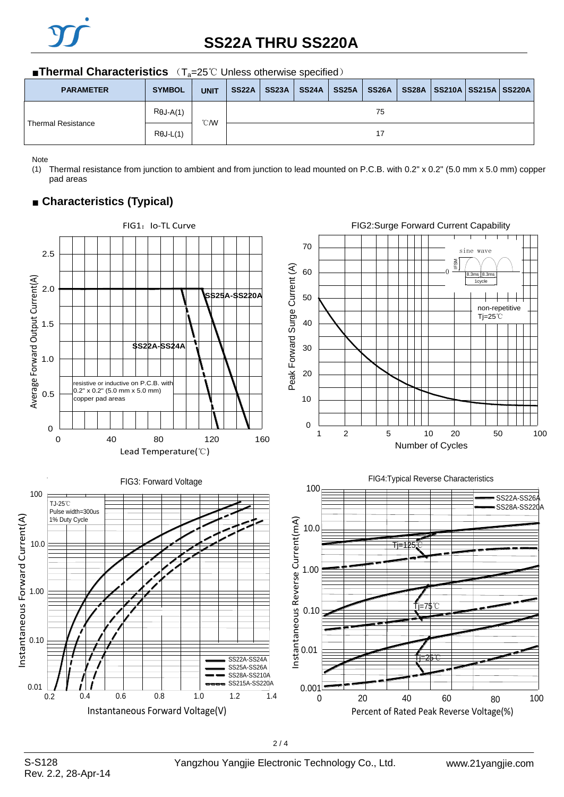

# **SS22A THRU SS220A**

#### ■**Thermal Characteristics** (T<sub>a</sub>=25℃ Unless otherwise specified)

| <b>PARAMETER</b>          | <b>SYMBOL</b>    | <b>UNIT</b>  | SS <sub>22</sub> A | <b>SS23A</b> | <b>SS24A</b> | <b>SS25A</b> | SS26A |  | SS28A   SS210A   SS215A   SS220A |  |  |  |
|---------------------------|------------------|--------------|--------------------|--------------|--------------|--------------|-------|--|----------------------------------|--|--|--|
|                           | $R\theta J-A(1)$ | $\degree$ CM | 75                 |              |              |              |       |  |                                  |  |  |  |
| <b>Thermal Resistance</b> | $R\theta$ J-L(1) |              | 17                 |              |              |              |       |  |                                  |  |  |  |

Note

(1) Thermal resistance from junction to ambient and from junction to lead mounted on P.C.B. with 0.2" x 0.2" (5.0 mm x 5.0 mm) copper pad areas

## ■ **Characteristics (Typical)**

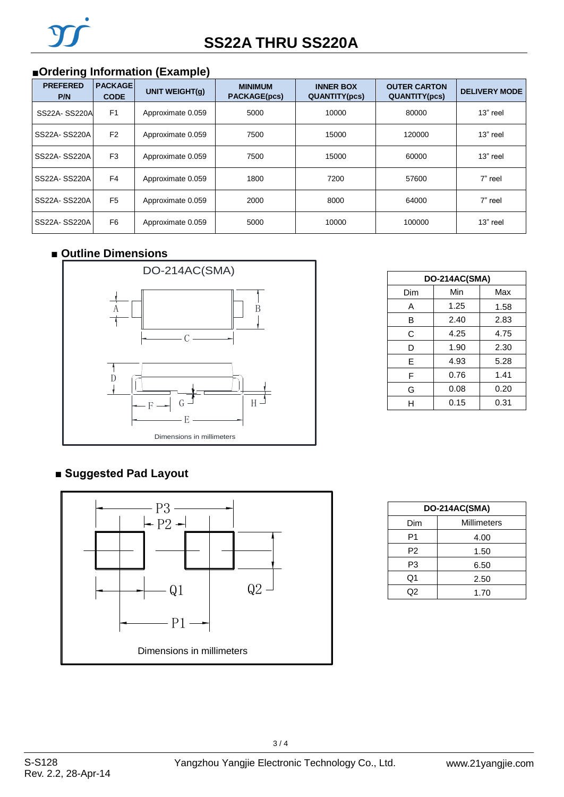## ■**Ordering Information (Example)**

| <b>PREFERED</b><br>P/N | <b>PACKAGE</b><br><b>CODE</b> | <b>UNIT WEIGHT(g)</b> | <b>MINIMUM</b><br><b>PACKAGE(pcs)</b> | <b>INNER BOX</b><br><b>QUANTITY(pcs)</b> | <b>OUTER CARTON</b><br><b>QUANTITY(pcs)</b> | <b>DELIVERY MODE</b> |
|------------------------|-------------------------------|-----------------------|---------------------------------------|------------------------------------------|---------------------------------------------|----------------------|
| SS22A-SS220A           | F <sub>1</sub>                | Approximate 0.059     | 5000                                  | 10000                                    | 80000                                       | $13"$ reel           |
| SS22A-SS220A           | F <sub>2</sub>                | Approximate 0.059     | 7500                                  | 15000                                    | 120000                                      | $13"$ reel           |
| SS22A-SS220A           | F <sub>3</sub>                | Approximate 0.059     | 7500                                  | 15000                                    | 60000                                       | 13" reel             |
| SS22A-SS220A           | F <sub>4</sub>                | Approximate 0.059     | 1800                                  | 7200                                     | 57600                                       | 7" reel              |
| SS22A-SS220A           | F <sub>5</sub>                | Approximate 0.059     | 2000                                  | 8000                                     | 64000                                       | 7" reel              |
| SS22A-SS220A           | F <sub>6</sub>                | Approximate 0.059     | 5000                                  | 10000                                    | 100000                                      | $13"$ reel           |

## ■ **Outline Dimensions**



| DO-214AC(SMA) |      |      |  |  |  |  |
|---------------|------|------|--|--|--|--|
| Dim           | Min  | Max  |  |  |  |  |
| Α             | 1.25 | 1.58 |  |  |  |  |
| B             | 2.40 | 2.83 |  |  |  |  |
| C             | 4.25 | 4.75 |  |  |  |  |
| D             | 1.90 | 2.30 |  |  |  |  |
| E             | 4.93 | 5.28 |  |  |  |  |
| F             | 0.76 | 1.41 |  |  |  |  |
| G             | 0.08 | 0.20 |  |  |  |  |
| н             | 0.15 | 0.31 |  |  |  |  |

## **■ Suggested Pad Layout**



| DO-214AC(SMA) |                    |  |  |  |  |
|---------------|--------------------|--|--|--|--|
| Dim           | <b>Millimeters</b> |  |  |  |  |
| P1            | 4.00               |  |  |  |  |
| P2            | 1.50               |  |  |  |  |
| P3            | 6.50               |  |  |  |  |
| Q1            | 2.50               |  |  |  |  |
| 02            | 1.70               |  |  |  |  |

3 / 4